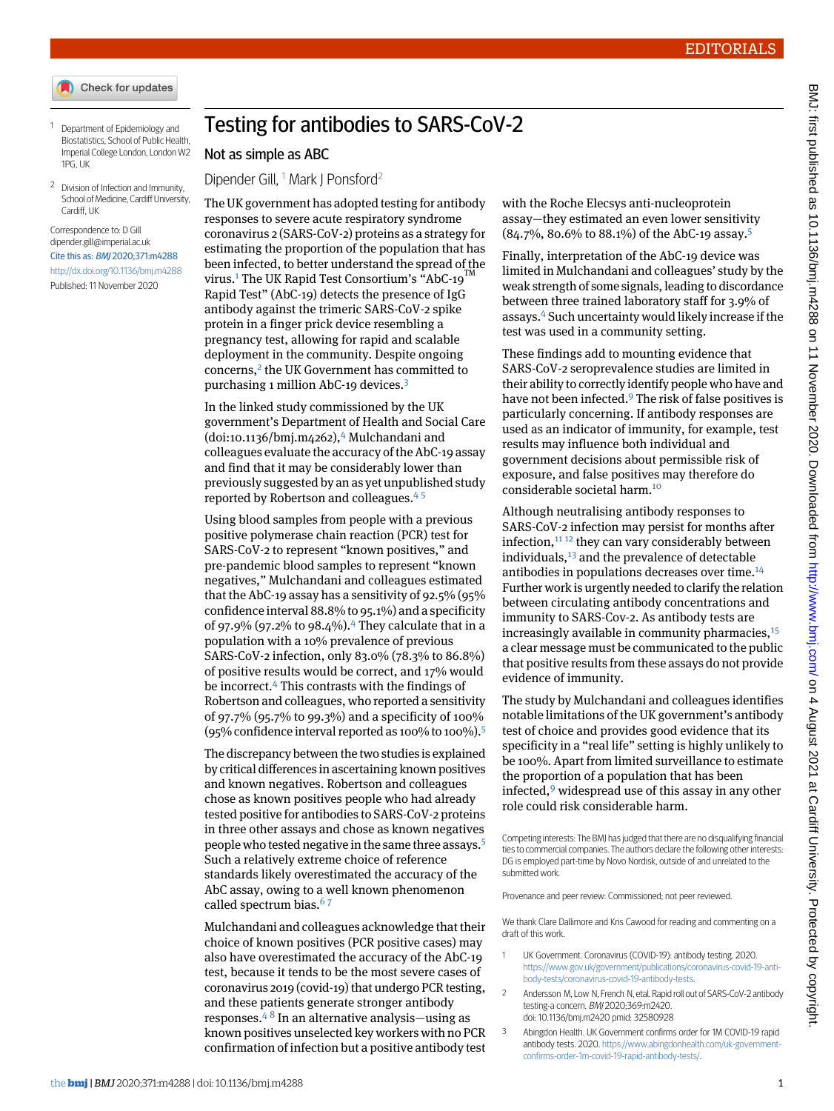- Check for updates
- <span id="page-0-0"></span><sup>1</sup> Department of Epidemiology and Biostatistics, School of Public Health, Imperial College London, London W2 1PG, UK
- <span id="page-0-1"></span><sup>2</sup> Division of Infection and Immunity, School of Medicine, Cardiff University, Cardiff, UK

## Correspondence to: D Gill [dipender.gill@imperial.ac.uk](mailto:dipender.gill@imperial.ac.uk) Cite this as: BMJ 2020;371:m4288 <http://dx.doi.org/10.1136/bmj.m4288> Published: 11 November 2020

Testing for antibodies to SARS-CoV-2

## Not as simple as ABC

Dipender Gill, <sup>[1](#page-0-0)</sup> Mark J Ponsford<sup>[2](#page-0-1)</sup>

The UK government has adopted testing for antibody responses to severe acute respiratory syndrome coronavirus 2 (SARS-CoV-2) proteins as a strategy for estimating the proportion of the population that has been infected, to better understand the spread of the virus.<sup>[1](#page-0-2)</sup> The UK Rapid Test Consortium's "AbC-19 Rapid Test" (AbC-19) detects the presence of IgG antibody against the trimeric SARS-CoV-2 spike protein in a finger prick device resembling a pregnancy test, allowing for rapid and scalable deployment in the community. Despite ongoing concerns,<sup>[2](#page-0-3)</sup> the UK Government has committed to purchasing 1 million AbC-19 devices.[3](#page-0-4)

In the linked study commissioned by the UK government's Department of Health and Social Care  $(doi:10.1136/bm; m4262)$  $(doi:10.1136/bm; m4262)$  $(doi:10.1136/bm; m4262)$ , <sup>4</sup> Mulchandani and colleagues evaluate the accuracy of the AbC-19 assay and find that it may be considerably lower than previously suggested by an as yet unpublished study reported by Robertson and colleagues.[4](#page-1-0) [5](#page-1-1)

Using blood samples from people with a previous positive polymerase chain reaction (PCR) test for SARS-CoV-2 to represent "known positives," and pre-pandemic blood samples to represent "known negatives," Mulchandani and colleagues estimated that the AbC-19 assay has a sensitivity of 92.5% (95% confidence interval 88.8% to 95.1%) and a specificity of 97.9% (97.2% to 98.[4](#page-1-0)%).<sup>4</sup> They calculate that in a population with a 10% prevalence of previous SARS-CoV-2 infection, only 83.0% (78.3% to 86.8%) of positive results would be correct, and 17% would be incorrect.<sup>[4](#page-1-0)</sup> This contrasts with the findings of Robertson and colleagues, who reported a sensitivity of 97.7% (95.7% to 99.3%) and a specificity of 100% (9[5](#page-1-1)% confidence interval reported as 100% to 100%).<sup>5</sup>

The discrepancy between the two studies is explained by critical differences in ascertaining known positives and known negatives. Robertson and colleagues chose as known positives people who had already tested positive for antibodies to SARS-CoV-2 proteins in three other assays and chose as known negatives people who tested negative in the same three assays.[5](#page-1-1) Such a relatively extreme choice of reference standards likely overestimated the accuracy of the AbC assay, owing to a well known phenomenon called spectrum bias. $67$  $67$ 

Mulchandani and colleagues acknowledge that their choice of known positives (PCR positive cases) may also have overestimated the accuracy of the AbC-19 test, because it tends to be the most severe cases of coronavirus 2019 (covid-19) that undergo PCR testing, and these patients generate stronger antibody responses. $48$  $48$  In an alternative analysis—using as known positives unselected key workers with no PCR confirmation of infection but a positive antibody test

with the Roche Elecsys anti-nucleoprotein assay—they estimated an even lower sensitivity (84.7%, 80.6% to 88.1%) of the AbC-19 assay.[5](#page-1-1)

Finally, interpretation of the AbC-19 device was limited in Mulchandani and colleagues' study by the weak strength of some signals, leading to discordance between three trained laboratory staff for 3.9% of assays.[4](#page-1-0) Such uncertainty would likely increase if the test was used in a community setting.

These findings add to mounting evidence that SARS-CoV-2 seroprevalence studies are limited in their ability to correctly identify people who have and have not been infected.[9](#page-1-5) The risk of false positives is particularly concerning. If antibody responses are used as an indicator of immunity, for example, test results may influence both individual and government decisions about permissible risk of exposure, and false positives may therefore do considerable societal harm.[10](#page-1-6)

Although neutralising antibody responses to SARS-CoV-2 infection may persist for months after infection, $11/12$  $11/12$  they can vary considerably between individuals, $^{13}$  $^{13}$  $^{13}$  and the prevalence of detectable antibodies in populations decreases over time.[14](#page-1-10) Further work is urgently needed to clarify the relation between circulating antibody concentrations and immunity to SARS-Cov-2. As antibody tests are increasingly available in community pharmacies, $15$ a clear message must be communicated to the public that positive results from these assays do not provide evidence of immunity.

The study by Mulchandani and colleagues identifies notable limitations of the UK government's antibody test of choice and provides good evidence that its specificity in a "real life" setting is highly unlikely to be 100%. Apart from limited surveillance to estimate the proportion of a population that has been infected, $9$  widespread use of this assay in any other role could risk considerable harm.

<span id="page-0-2"></span>Competing interests: The BMJ has judged that there are no disqualifying financial ties to commercial companies. The authors declare the following other interests: DG is employed part-time by Novo Nordisk, outside of and unrelated to the submitted work.

<span id="page-0-3"></span>Provenance and peer review: Commissioned; not peer reviewed.

<span id="page-0-4"></span>We thank Clare Dallimore and Kris Cawood for reading and commenting on a draft of this work.

- 1 UK Government. Coronavirus (COVID-19): antibody testing. 2020. [https://www.gov.uk/government/publications/coronavirus-covid-19-anti](https://www.gov.uk/government/publications/coronavirus-covid-19-antibody-tests/coronavirus-covid-19-antibody-tests)[body-tests/coronavirus-covid-19-antibody-tests](https://www.gov.uk/government/publications/coronavirus-covid-19-antibody-tests/coronavirus-covid-19-antibody-tests).
- 2 Andersson M, Low N, French N, etal. Rapid roll out of SARS-CoV-2 antibody testing-a concern. BMJ 2020;369:m2420. doi: 10.1136/bmj.m2420 pmid: 32580928
- 3 Abingdon Health. UK Government confirms order for 1M COVID-19 rapid antibody tests. 2020. [https://www.abingdonhealth.com/uk-government](https://www.abingdonhealth.com/uk-government-confirms-order-1m-covid-19-rapid-antibody-tests/)[confirms-order-1m-covid-19-rapid-antibody-tests/.](https://www.abingdonhealth.com/uk-government-confirms-order-1m-covid-19-rapid-antibody-tests/)